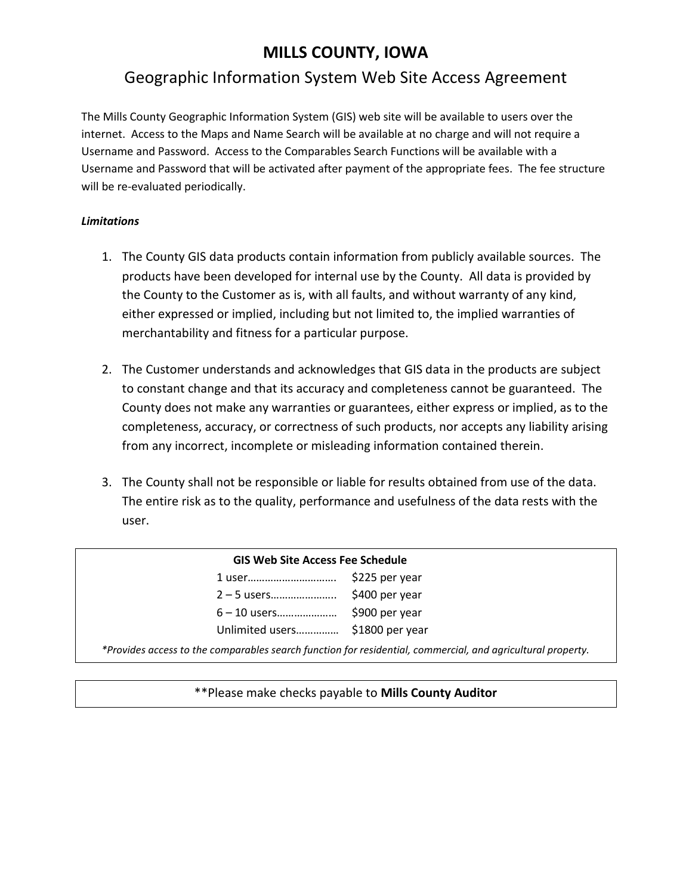# **MILLS COUNTY, IOWA**

# Geographic Information System Web Site Access Agreement

The Mills County Geographic Information System (GIS) web site will be available to users over the internet. Access to the Maps and Name Search will be available at no charge and will not require a Username and Password. Access to the Comparables Search Functions will be available with a Username and Password that will be activated after payment of the appropriate fees. The fee structure will be re-evaluated periodically.

### *Limitations*

- 1. The County GIS data products contain information from publicly available sources. The products have been developed for internal use by the County. All data is provided by the County to the Customer as is, with all faults, and without warranty of any kind, either expressed or implied, including but not limited to, the implied warranties of merchantability and fitness for a particular purpose.
- 2. The Customer understands and acknowledges that GIS data in the products are subject to constant change and that its accuracy and completeness cannot be guaranteed. The County does not make any warranties or guarantees, either express or implied, as to the completeness, accuracy, or correctness of such products, nor accepts any liability arising from any incorrect, incomplete or misleading information contained therein.
- 3. The County shall not be responsible or liable for results obtained from use of the data. The entire risk as to the quality, performance and usefulness of the data rests with the user.

#### **GIS Web Site Access Fee Schedule**

| 1 user          | \$225 per year  |
|-----------------|-----------------|
| 2 — 5 users     | \$400 per year  |
| 6 – 10 users    | \$900 per year  |
| Unlimited users | \$1800 per year |
|                 |                 |

*\*Provides access to the comparables search function for residential, commercial, and agricultural property.*

\*\*Please make checks payable to **Mills County Auditor**